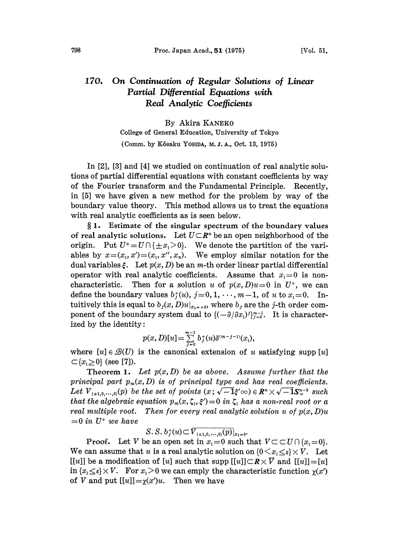## 170. On Continuation of Regular Solutions of Linear Partial Differential Equations with Real Analytic Coefficients

By Akira KANEKO College of General Education, University of Tokyo (Comm. by Kôsaku Yosida, M. J. A., Oct. 13, 1975)

In [2], [3] and [4] we studied on continuation of real analytic solutions of partial differential equations with constant coefficients by way of the Fourier transform and the Fundamental Principle. Recently, in [5] we have given a new method for the problem by way of the boundary value theory. This method allows us to treat the equations with real analytic coefficients as is seen below.

1. Estimate of the singular spectrum of the boundary values of real analytic solutions. Let  $U\subset \mathbb{R}^n$  be an open neighborhood of the origin. Put  $U^* = U \cap {\{\pm x_i > 0\}}$ . We denote the partition of the variables by  $x=(x_1, x')=(x_1, x'', x_n)$ . We employ similar notation for the dual variables  $\xi$ . Let  $p(x, D)$  be an m-th order linear partial differential operator with real analytic coefficients. Assume that  $x<sub>1</sub>=0$  is noncharacteristic. Then for a solution u of  $p(x,D)u=0$  in  $U^*$ , we can define the boundary values  $b_j^+(u)$ ,  $j=0, 1, \dots, m-1$ , of u to  $x_1=0$ . Intuitively this is equal to  $b_j(x, D)u|_{x_{1}=\pm 0}$ , where  $b_j$  are the j-th order component of the boundary system dual to  $\{(-\partial/\partial x_i)^j\}_{j=0}^{m-1}$ . It is characterized by the identity:

$$
p(x,D)[u]=\sum_{j=0}^{m-1}b_j^+(u)\delta^{(m-j-1)}(x_1),
$$

where  $[u] \in \mathcal{B}(U)$  is the canonical extension of u satisfying supp [u]  $\subset \{x_1 \geq 0\}$  (see [7]).

**Theorem 1.** Let  $p(x, D)$  be as above. Assume further that the principal part  $p_m(x, D)$  is of principal type and has real coefficients. Let  $V_{(\pm 1,0,\dots,0)}(p)$  be the set of points  $(x; \sqrt{-1}\xi' \infty) \in \mathbb{R}^n \times \sqrt{-1}\mathbb{S}^{n-2}$  such that the algebraic equation  $p_m(x, \zeta_1, \xi')=0$  in  $\zeta_1$  has a non-real root or a real multiple root. Then for every real analytic solution u of  $p(x, D)u$  $=0$  in  $U^+$  we have

 $S. S. b_j^*(u) \subset \overline{V_{(\pm 1,0,\cdots,0)}(p)}|_{x_1=0}.$ 

**Proof.** Let V be an open set in  $x_1=0$  such that  $V\subset\subset U\cap \{x_1=0\}.$ We can assume that u is a real analytic solution on  $\{0 \le x_i \le \varepsilon\} \times V$ . Let [[u]] be a modification of [u] such that supp  $[[u]] \subset \mathbb{R} \times \overline{V}$  and  $[[u]] = [u]$ in  $\{x_i \leq \epsilon\} \times V$ . For  $x_i > 0$  we can emply the characteristic function  $\chi(x')$ of V and put  $[[u]] = \chi(x')u$ . Then we have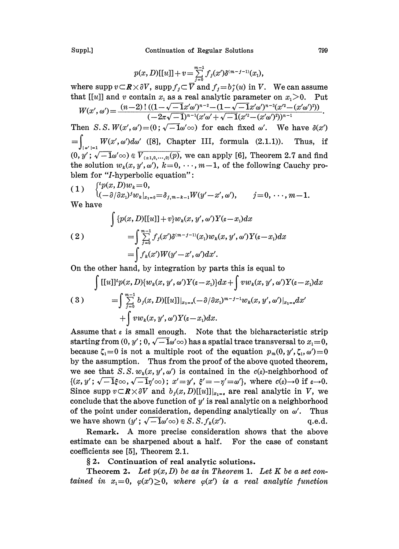$$
p(x,D)[[u]] + v = \sum_{j=0}^{m-1} f_j(x') \delta^{(m-j-1)}(x_1),
$$

where supp  $v \subset \mathbb{R} \times \partial V$ , supp  $f_j \subset \overline{V}$  and  $f_j = b_j^*(u)$  in V. We can assume that  $[[u]]$  and v contain  $x_i$ , as a real analytic parameter on  $x_i > 0$ . Put that [[u]] and v contain  $x_1$  as a real analytic parameter on  $x_1 > 0$ . Pu<br>  $W(x_1, x_2, \ldots, x_n) = (n-2)! ((1-\sqrt{-1}x'\omega')^{n-2}-(1-\sqrt{-1}x'\omega')^{n-3}(x'^2-(x'\omega')^2))$ 

$$
W(x',\omega') = \frac{(n-2) \cdot ((1-\sqrt{-1}x'\omega')^{n-2} - (1-\sqrt{-1}x'\omega')^{n-3}(x'^2 - (x'\omega')^2))}{(-2\pi\sqrt{-1})^{n-1}(x'\omega' + \sqrt{-1}(x'^2 - (x'\omega')^2))^{n-1}}
$$

Then S.S.  $W(x', \omega') = (0; \sqrt{-1}\omega' \infty)$  for each fixed  $\omega'$ . We have  $\delta(x')$  $=\int_{\lceil \omega' \rceil = 1} W(x', \omega') d\omega'$  ([8], Chapter III, formula (2.1.1)). Thus, if<br>  $(0, y'; \sqrt{-1}\omega' \in V_{(\pm 1,0,\dots,0)}(p))$ , we can apply [6], Theorem 2.7 and find the solution  $w_k(x, y', \omega')$ ,  $k=0, \dots, m-1$ , of the following Cauchy problem for "I-hyperbolic equation":

 $(1) \quad \{^{p(x,D)w_k=0,}\$  $\frac{1}{(1-\partial/\partial x_1)} w_k|_{x_1=0} = \delta_{j,m-k-1} W(y'-x',\omega'), \qquad j=0,\cdots, m-1.$ We have

$$
\int \{p(x,D)[[u]]+v\}w_k(x,y',\omega')Y(\varepsilon-x_1)dx
$$
  
(2)  

$$
=\int_{\substack{x=0 \ y=0}}^{\infty} f_j(x')\delta^{(m-j-1)}(x_1)w_k(x,y',\omega')Y(\varepsilon-x_1)dx
$$
  

$$
=\int f_k(x')W(y'-x',\omega')dx'.
$$

On the other hand, by integration by parts this is equal to

$$
\int [[u]]^t p(x, D) \{w_k(x, y', \omega')Y(\epsilon - x_1)\} dx + \int v w_k(x, y', \omega')Y(\epsilon - x_1) dx
$$
  
(3)
$$
= \int \sum_{j=0}^{m-1} b_j(x, D) [[u]]_{x_{1}=\epsilon} (-\partial/\partial x_1)^{m-j-1} w_k(x, y', \omega')|_{x_{1}=\epsilon} dx'
$$

$$
+ \int v w_k(x, y', \omega')Y(\epsilon - x_1) dx.
$$

Assume that  $\varepsilon$  is small enough. Note that the bicharacteristic strip starting from  $(0, y'; 0, \sqrt{-1}\omega' \infty)$  has a spatial trace transversal to  $x_1=0$ , because  $\zeta_1=0$  is not a multiple root of the equation  $p_m(0, y', \zeta_1, \omega')=0$ by the assumption. Thus from the proof of the above quoted theorem, we see that S. S.  $w_k(x, y', \omega')$  is contained in the  $c(\varepsilon)$ -neighborhood of  $\{(x, y'; \sqrt{-1}\xi\infty, \sqrt{-1}\eta'\infty); x'=y', \xi'=-\eta'=\omega'\}, \text{ where } c(\epsilon)\to 0 \text{ if } \epsilon\to 0.$ Since supp  $v \subset \mathbb{R} \times \partial V$  and  $b_j(x,D)[[u]]|_{x_{1-i}}$  are real analytic in V, we conclude that the above function of  $y'$  is real analytic on a neighborhood of the point under consideration, depending analytically on  $\omega'$ . Thus be the point under consideration, depending analytic on a heighborhood<br>of the point under consideration, depending analytically on  $\omega'$ . Thus<br>we have shown  $(y'; \sqrt{-1}\omega' \infty) \in S.S.f_k(x')$ .<br>q.e.d.

Remark. A more precise consideration shows that the above estimate can be sharpened about a half. For the case of constant coefficients see [5], Theorem 2.1.

2. Continuation of real analytic solutions.

Theorem 2. Let  $p(x, D)$  be as in Theorem 1. Let K be a set contained in  $x_1=0$ ,  $\varphi(x')\geq 0$ , where  $\varphi(x')$  is a real analytic function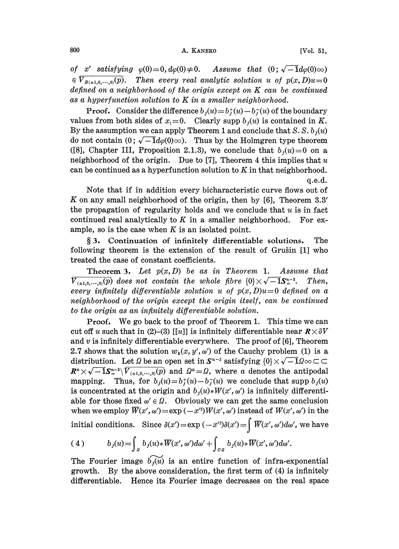of x' satisfying  $\varphi(0)=0$ ,  $d\varphi(0)\neq0$ . Assume that  $(0; \sqrt{-1}d\varphi(0)\infty)$  $\mathfrak{E}$   $\overline{V_{B(\pm 1,0,\dots,0)}(p)}$ . Then every real analytic solution u of  $p(x,D)u=0$ defined on a neighborhood of the origin except on  $K$  can be continued as a hyperfunction solution to  $K$  in a smaller neighborhood.

**Proof.** Consider the difference  $b_i(u) = b_i^*(u) - b_i^*(u)$  of the boundary values from both sides of  $x_1=0$ . Clearly supp  $b_j(u)$  is contained in K. By the assumption we can apply Theorem 1 and conclude that S. S.  $b_i(u)$ do not contain  $(0; \sqrt{-1}d\varphi(0)\infty)$ . Thus by the Holmgren type theorem ([8], Chapter III, Proposition 2.1.3), we conclude that  $b_j(u)=0$  on a neighborhood of the origin. Due to [7], Theorem 4 this implies that  $u$ can be continued as a hyperfunction solution to  $K$  in that neighborhood. q.e.d.

Note that if in addition every bicharacteristic curve flows out of K on any small neighborhood of the origin, then by [6], Theorem 3.3' the propagation of regularity holds and we conclude that  $u$  is in fact continued real analytically to  $K$  in a smaller neighborhood. For example, so is the case when  $K$  is an isolated point.

3. Continuation of infinitely differentiable solutions. The following theorem is the extension of the result of Grušin [1] who treated the case of constant coefficients.

Theorem 3. Let  $p(x, D)$  be as in Theorem 1. Assume that  $\overline{V_{(\pm 1,0,\cdots,0)}(p)}$  does not contain the whole fibre  $\{0\}\times\sqrt{-1}S^{n-2}_{\infty}$ . Then, every infinitely differentiable solution u of  $p(x,D)u=0$  defined on a neighborhood of the origin except the origin itself, can be continued to the origin as an infinitely differentiable solution.

Proof. We go back to the proof of Theorem 1. This time we can cut off u such that in (2)-(3) [[u]] is infinitely differentiable near  $\mathbf{R}\times\partial V$ and  $v$  is infinitely differentiable everywhere. The proof of [6], Theorem 2.7 shows that the solution  $w_k(x, y', \omega')$  of the Cauchy problem (1) is a distribution. Let  $\Omega$  be an open set in  $S^{n-2}$  satisfying  $\{0\} \times \sqrt{-1} \Omega \infty \subset \mathbb{C}$ <br>  $R^n \times \sqrt{-1} S^{n-2} \setminus \overline{V_{(\pm 1,0,\dots,0)}(p)}$  and  $\Omega^a = \Omega$ , where a denotes the antipodal mapping. Thus, for  $b_1(u)=b_1^*(u)-b_1^*(u)$  we conclude that supp  $b_1(u)$ is concentrated at the origin and  $b_i(u)*W(x', \omega')$  is infinitely differentiable for those fixed  $\omega' \in \Omega$ . Obviously we can get the same conclusion when we employ  $\overline{W}(x', \omega') = \exp(-x'^2)W(x', \omega')$  instead of  $W(x', \omega')$  in the able for those fixed  $\omega' \in \Omega$ . Obviously we can get the same conclusion initial conditions. Since  $\delta(x') = \exp(-x'^2)\delta(x') = \int \overline{W}(x', \omega')d\omega'$ , we have

(4) 
$$
b_j(u) = \int_a b_j(u) * \overline{W}(x', \omega') d\omega' + \int_{\partial \Omega} b_j(u) * \overline{W}(x', \omega') d\omega'.
$$

The Fourier image  $\widetilde{b_1(u)}$  is an entire function of infra-exponential growth. By the above consideration, the first term of (4) is infinitely differentiable. Hence its Fourier image decreases on the real space